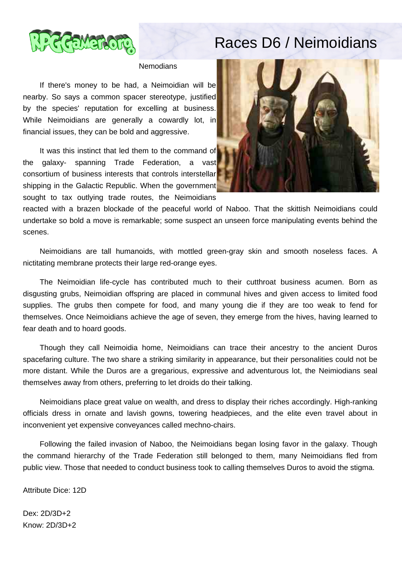

## Races D6 / Neimoidians

## **Nemodians**

 If there's money to be had, a Neimoidian will be nearby. So says a common spacer stereotype, justified by the species' reputation for excelling at business. While Neimoidians are generally a cowardly lot, in financial issues, they can be bold and aggressive.

 It was this instinct that led them to the command of the galaxy- spanning Trade Federation, a vast consortium of business interests that controls interstellar shipping in the Galactic Republic. When the government sought to tax outlying trade routes, the Neimoidians



reacted with a brazen blockade of the peaceful world of Naboo. That the skittish Neimoidians could undertake so bold a move is remarkable; some suspect an unseen force manipulating events behind the scenes.

 Neimoidians are tall humanoids, with mottled green-gray skin and smooth noseless faces. A nictitating membrane protects their large red-orange eyes.

 The Neimoidian life-cycle has contributed much to their cutthroat business acumen. Born as disgusting grubs, Neimoidian offspring are placed in communal hives and given access to limited food supplies. The grubs then compete for food, and many young die if they are too weak to fend for themselves. Once Neimoidians achieve the age of seven, they emerge from the hives, having learned to fear death and to hoard goods.

 Though they call Neimoidia home, Neimoidians can trace their ancestry to the ancient Duros spacefaring culture. The two share a striking similarity in appearance, but their personalities could not be more distant. While the Duros are a gregarious, expressive and adventurous lot, the Neimiodians seal themselves away from others, preferring to let droids do their talking.

 Neimoidians place great value on wealth, and dress to display their riches accordingly. High-ranking officials dress in ornate and lavish gowns, towering headpieces, and the elite even travel about in inconvenient yet expensive conveyances called mechno-chairs.

 Following the failed invasion of Naboo, the Neimoidians began losing favor in the galaxy. Though the command hierarchy of the Trade Federation still belonged to them, many Neimoidians fled from public view. Those that needed to conduct business took to calling themselves Duros to avoid the stigma.

Attribute Dice: 12D

Dex: 2D/3D+2 Know: 2D/3D+2